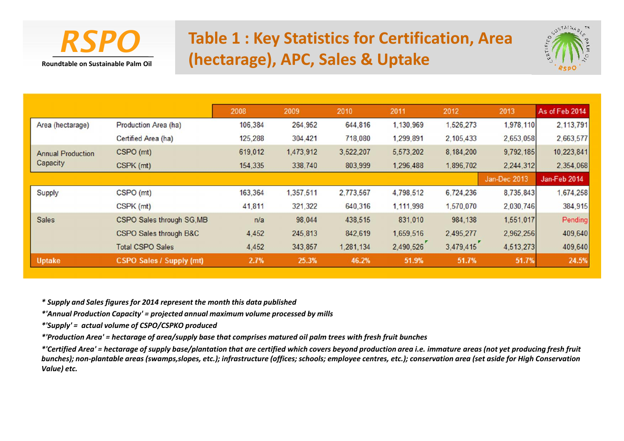

# **RSPO** Table 1 : Key Statistics for Certification, Area **(hectarage), APC, Sales & Uptake**



|                          |                                 | 2008    | 2009      | 2010      | 2011      | 2012      | 2013         | As of Feb 2014 |
|--------------------------|---------------------------------|---------|-----------|-----------|-----------|-----------|--------------|----------------|
| Area (hectarage)         | Production Area (ha)            | 106,384 | 264,952   | 644,816   | 1,130,969 | 1,526,273 | 1,978,110    | 2,113,791      |
|                          | Certified Area (ha)             | 125,288 | 304,421   | 718,080   | 1,299,891 | 2,105,433 | 2,653,058    | 2,663,577      |
| <b>Annual Production</b> | CSPO (mt)                       | 619,012 | 1,473,912 | 3,522,207 | 5,573,202 | 8,184,200 | 9,792,185    | 10,223,841     |
| Capacity                 | CSPK (mt)                       | 154,335 | 338,740   | 803,999   | 1,296,488 | 1,896,702 | 2,244,312    | 2,354,068      |
|                          |                                 |         |           |           |           |           | Jan-Dec 2013 | Jan-Feb 2014   |
| Supply                   | CSPO (mt)                       | 163,364 | 1,357,511 | 2,773,567 | 4,798,512 | 6,724,236 | 8,735,843    | 1,674,258      |
|                          | CSPK (mt)                       | 41,811  | 321,322   | 640,316   | 1,111,998 | 1,570,070 | 2,030,746    | 384,915        |
| <b>Sales</b>             | CSPO Sales through SG, MB       | n/a     | 98,044    | 438,515   | 831,010   | 984,138   | 1,551,017    | Pending        |
|                          | CSPO Sales through B&C          | 4,452   | 245,813   | 842,619   | 1,659,516 | 2,495,277 | 2,962,256    | 409,640        |
|                          | <b>Total CSPO Sales</b>         | 4,452   | 343,857   | 1,281,134 | 2,490,526 | 3,479,415 | 4,513,273    | 409,640        |
| <b>Uptake</b>            | <b>CSPO Sales / Supply (mt)</b> | 2.7%    | 25.3%     | 46.2%     | 51.9%     | 51.7%     | 51.7%        | 24.5%          |

*\* Supply and Sales figures for 2014 represent the month this data published*

*\*'Annual Production Capacity' = projected annual maximum volume processed by mills*

*\*'Supply' = actual volume of CSPO/CSPKO produced*

*\*'Production Area' = hectarage of area/supply base that comprises matured oil palm trees with fresh fruit bunches*

*\*'Certified Area' = hectarage of supply base/plantation that are certified which covers beyond production area i.e. immature areas (not yet producing fresh fruit bunches); non-plantable areas (swamps,slopes, etc.); infrastructure (offices; schools; employee centres, etc.); conservation area (set aside for High Conservation Value) etc.*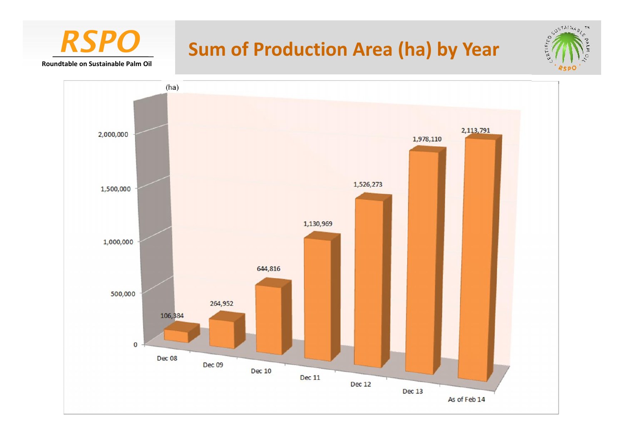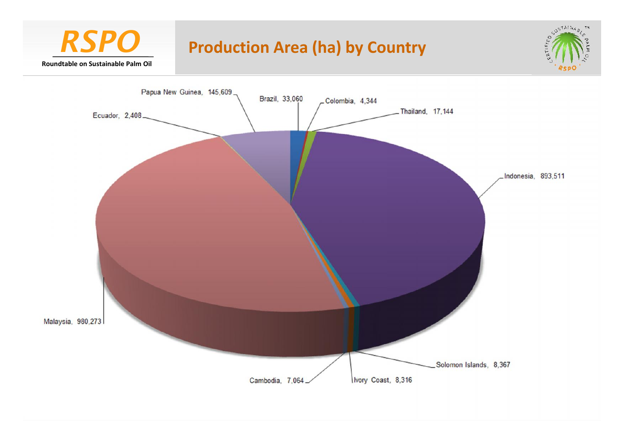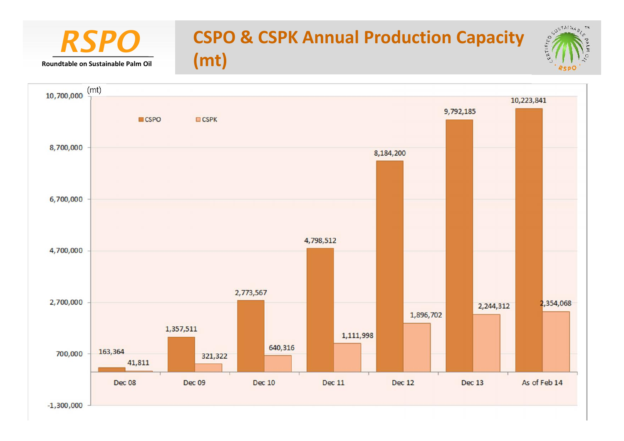### $TX$ **RSPO** CSPO & CSPK Annual Production Capacity **(mt)Roundtable on Sustainable Palm Oil**

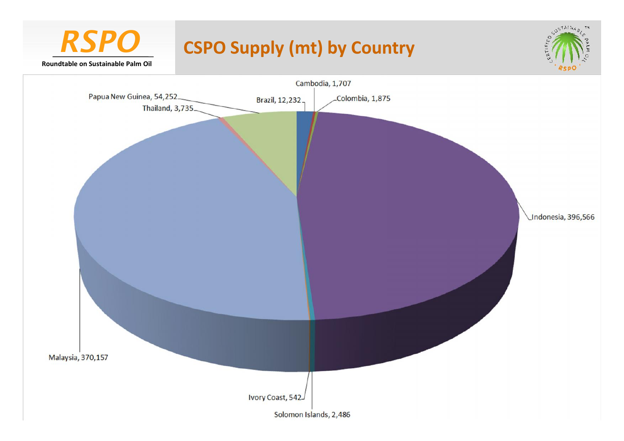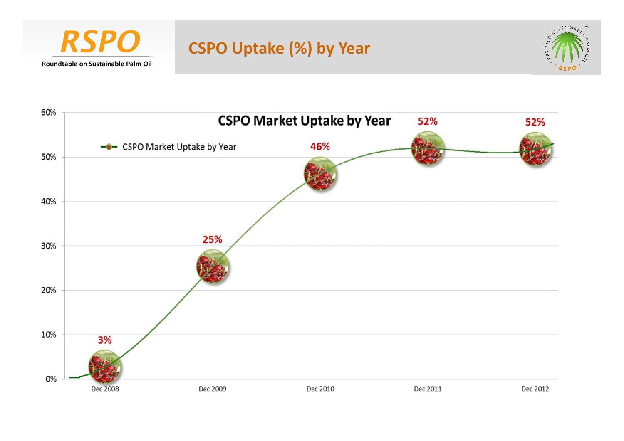

# *RSPO* **CSPO Uptake (%) by Year**



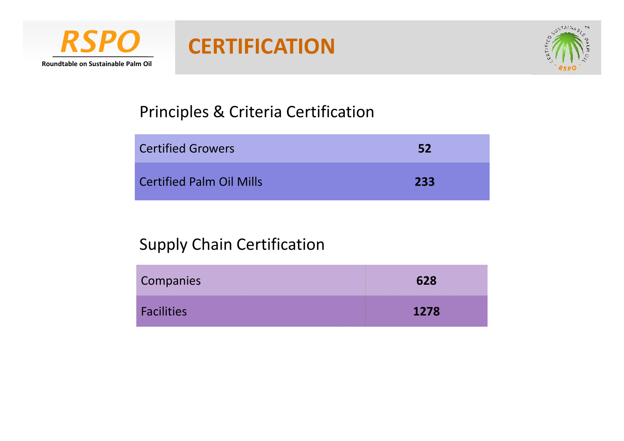

# *RSPO* **CERTIFICATION**



## Principles & Criteria Certification

| <b>Certified Growers</b>        | -52 |
|---------------------------------|-----|
| <b>Certified Palm Oil Mills</b> | 233 |

## Supply Chain Certification

| Companies         | 628  |
|-------------------|------|
| <b>Facilities</b> | 1278 |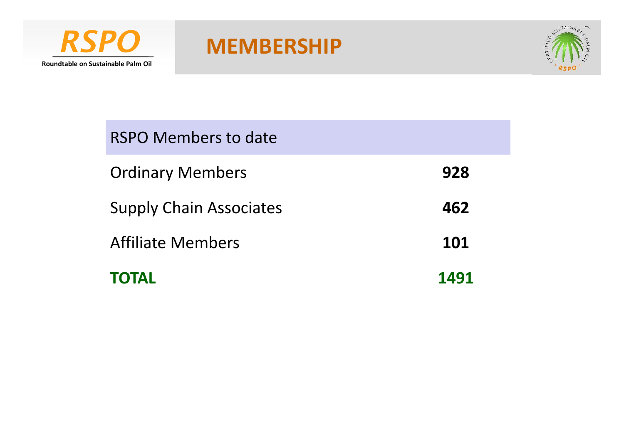



| <b>Affiliate Members</b>                                  | 101 |  |  |  |
|-----------------------------------------------------------|-----|--|--|--|
| <b>Ordinary Members</b><br><b>Supply Chain Associates</b> | 462 |  |  |  |
|                                                           | 928 |  |  |  |
| RSPO Members to date                                      |     |  |  |  |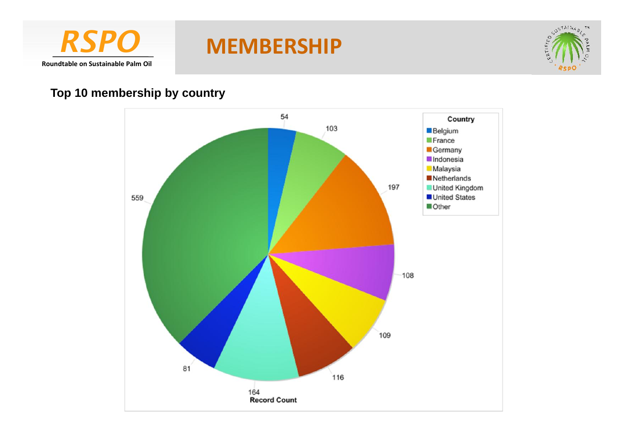



## **Top 10 membership by country**

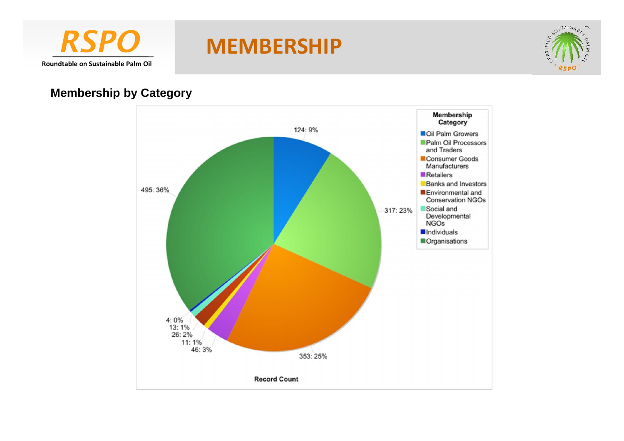



### **Membership by Category**

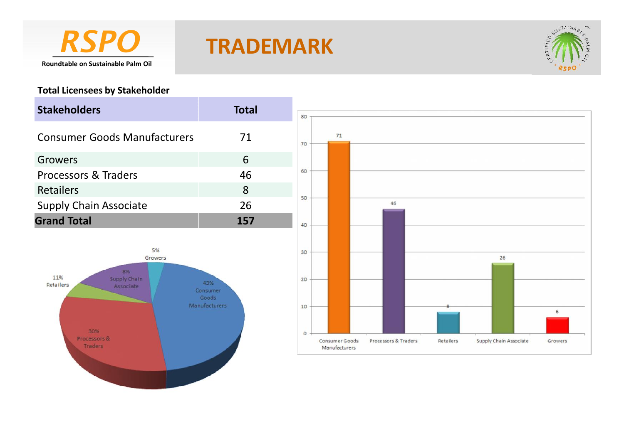

# *RSPO* **TRADEMARK**



### **Total Licensees by Stakeholder**

30%

Processors &

Traders

| <b>Stakeholders</b>                                                  | <b>Total</b>                              | 80             |    |    |         |
|----------------------------------------------------------------------|-------------------------------------------|----------------|----|----|---------|
| <b>Consumer Goods Manufacturers</b>                                  | 71                                        | 70             | 71 |    |         |
| Growers                                                              | 6                                         |                |    |    |         |
| <b>Processors &amp; Traders</b>                                      | 46                                        | 60             |    |    |         |
| Retailers                                                            | 8                                         |                |    |    |         |
| <b>Supply Chain Associate</b>                                        | 26                                        | 50             |    | 46 |         |
| <b>Grand Total</b>                                                   | 157                                       | 40             |    |    |         |
| 5%<br>Growers<br>8%<br>11%<br>Supply Chain<br>Retailers<br>Associate | 43%<br>Consumer<br>Goods<br>Manufacturers | 30<br>20<br>10 |    |    | 26<br>6 |

 $\circ$ 

Consumer Goods

Manufacturers

Processors & Traders

Retailers

Supply Chain Associate

Growers